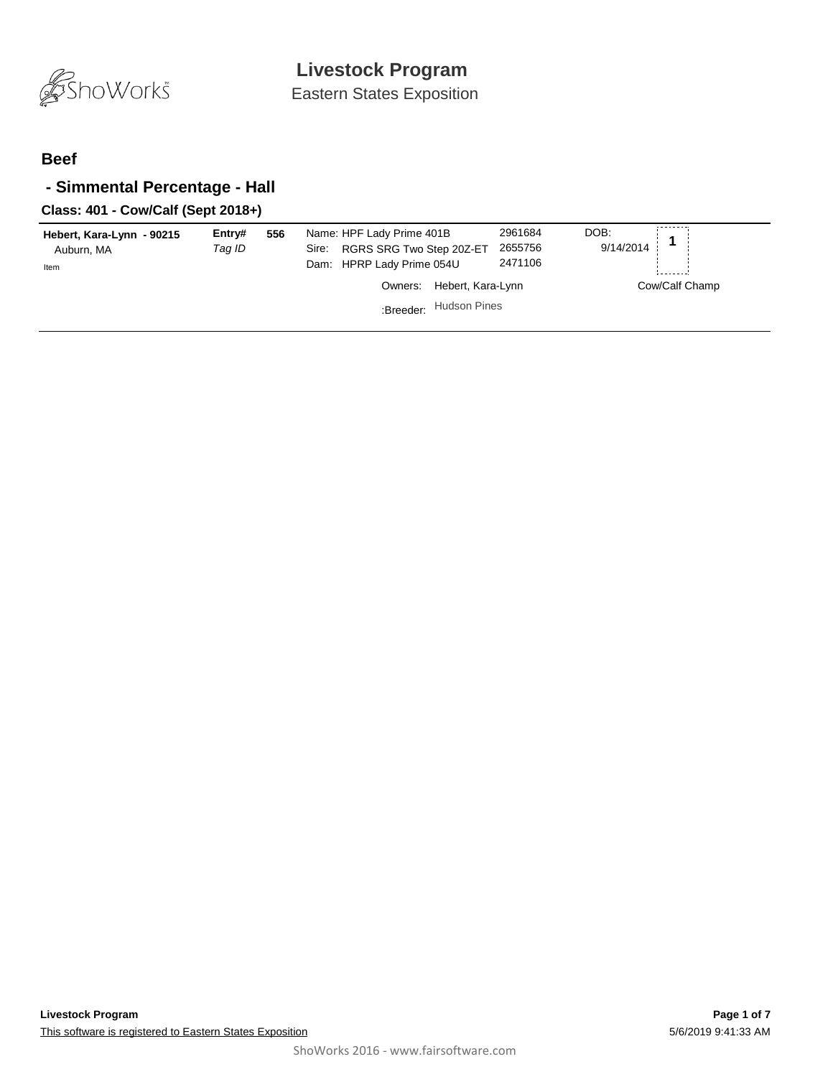

#### **Beef**

## **- Simmental Percentage - Hall**

#### **Class: 401 - Cow/Calf (Sept 2018+)**

| Hebert, Kara-Lynn - 90215<br>Auburn, MA<br>Item | Entry#<br>Taq ID | 556 | Name: HPF Lady Prime 401B<br>Sire: RGRS SRG Two Step 20Z-ET<br>Dam: HPRP Lady Prime 054U | 2961684<br>2655756<br>2471106 | DOB:<br>9/14/2014 |                |
|-------------------------------------------------|------------------|-----|------------------------------------------------------------------------------------------|-------------------------------|-------------------|----------------|
|                                                 |                  |     | Hebert, Kara-Lynn<br>Owners:<br>:Breeder: Hudson Pines                                   |                               |                   | Cow/Calf Champ |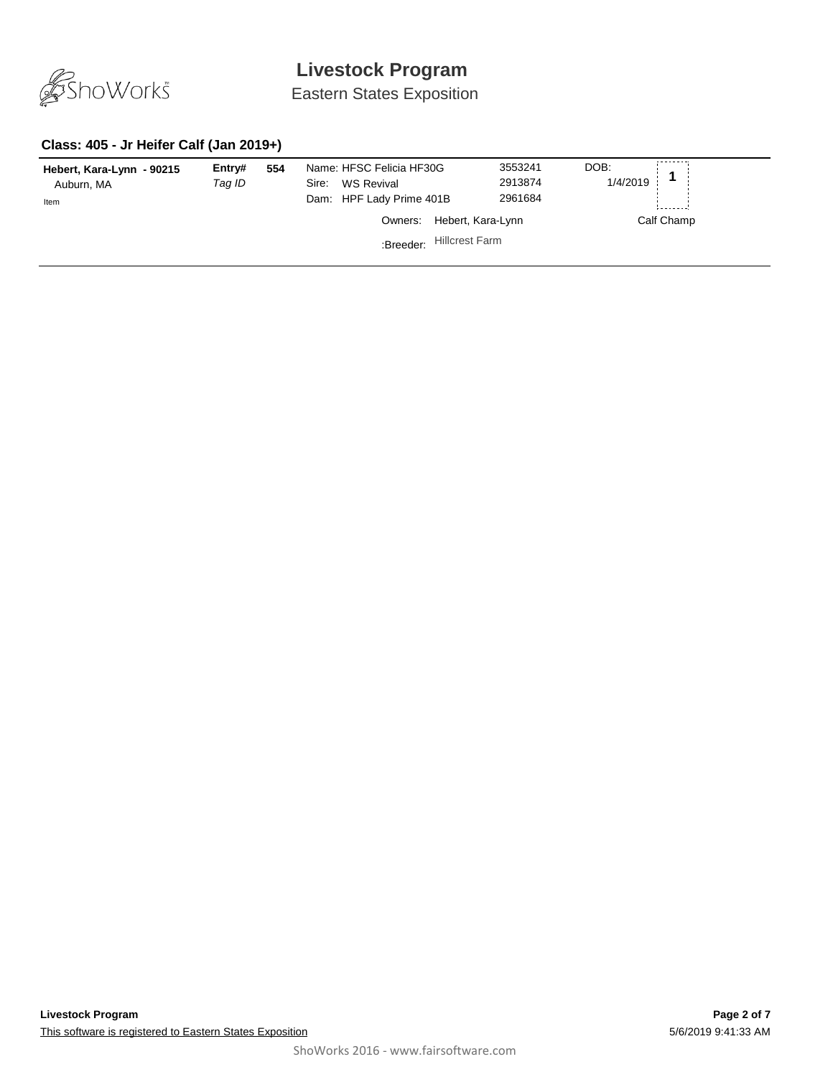

Eastern States Exposition

### **Class: 405 - Jr Heifer Calf (Jan 2019+)**

| Hebert, Kara-Lynn - 90215<br>Auburn, MA<br>Item | Entry#<br>Taq ID | 554 | Name: HFSC Felicia HF30G<br>WS Revival<br>Sire:<br>Dam: HPF Lady Prime 401B | 3553241<br>2913874<br>2961684 | DOB:<br>1/4/2019 |
|-------------------------------------------------|------------------|-----|-----------------------------------------------------------------------------|-------------------------------|------------------|
|                                                 |                  |     | Owners:                                                                     | Hebert, Kara-Lynn             | Calf Champ       |
|                                                 |                  |     | :Breeder:                                                                   | <b>Hillcrest Farm</b>         |                  |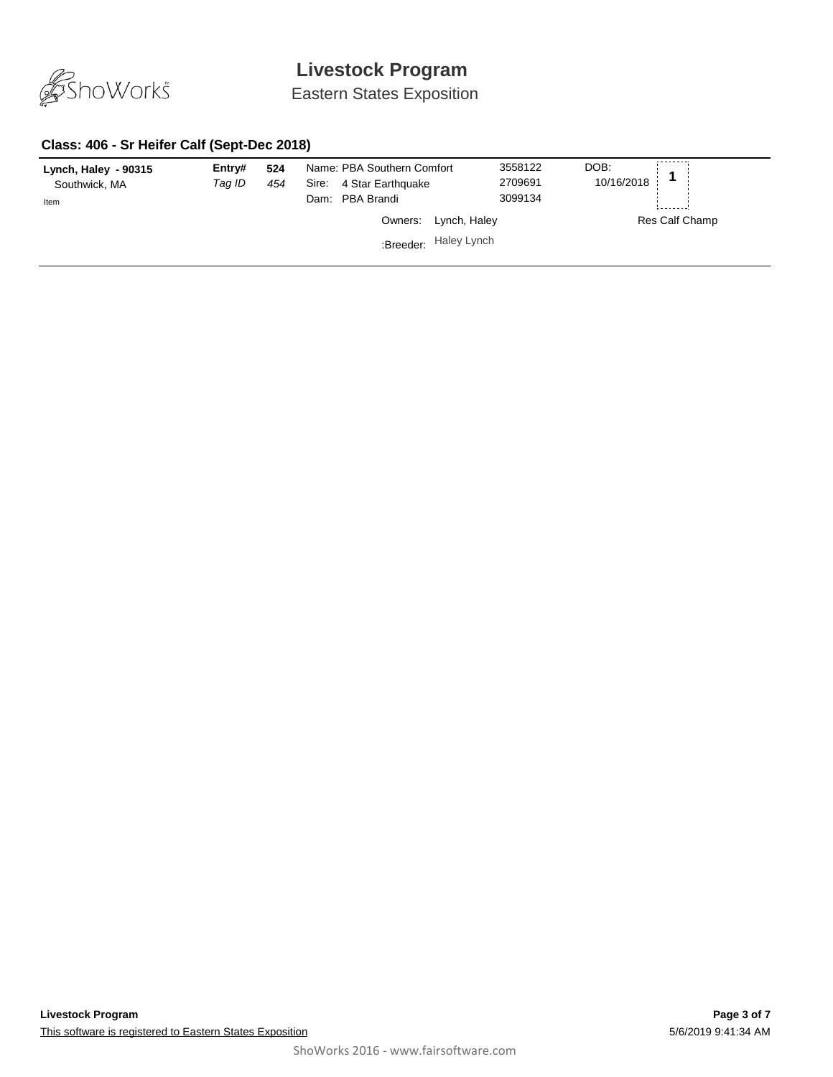

Eastern States Exposition

#### **Class: 406 - Sr Heifer Calf (Sept-Dec 2018)**

| Lynch, Haley - 90315<br>Southwick, MA<br>Item | Entry#<br>Tag ID | 524<br>454 | Name: PBA Southern Comfort<br>4 Star Earthquake<br>Sire:<br>Dam: PBA Brandi |                       | DOB:<br>3558122<br>10/16/2018<br>2709691<br>3099134 |                |
|-----------------------------------------------|------------------|------------|-----------------------------------------------------------------------------|-----------------------|-----------------------------------------------------|----------------|
|                                               |                  |            |                                                                             | Owners: Lynch, Haley  |                                                     | Res Calf Champ |
|                                               |                  |            |                                                                             | :Breeder: Haley Lynch |                                                     |                |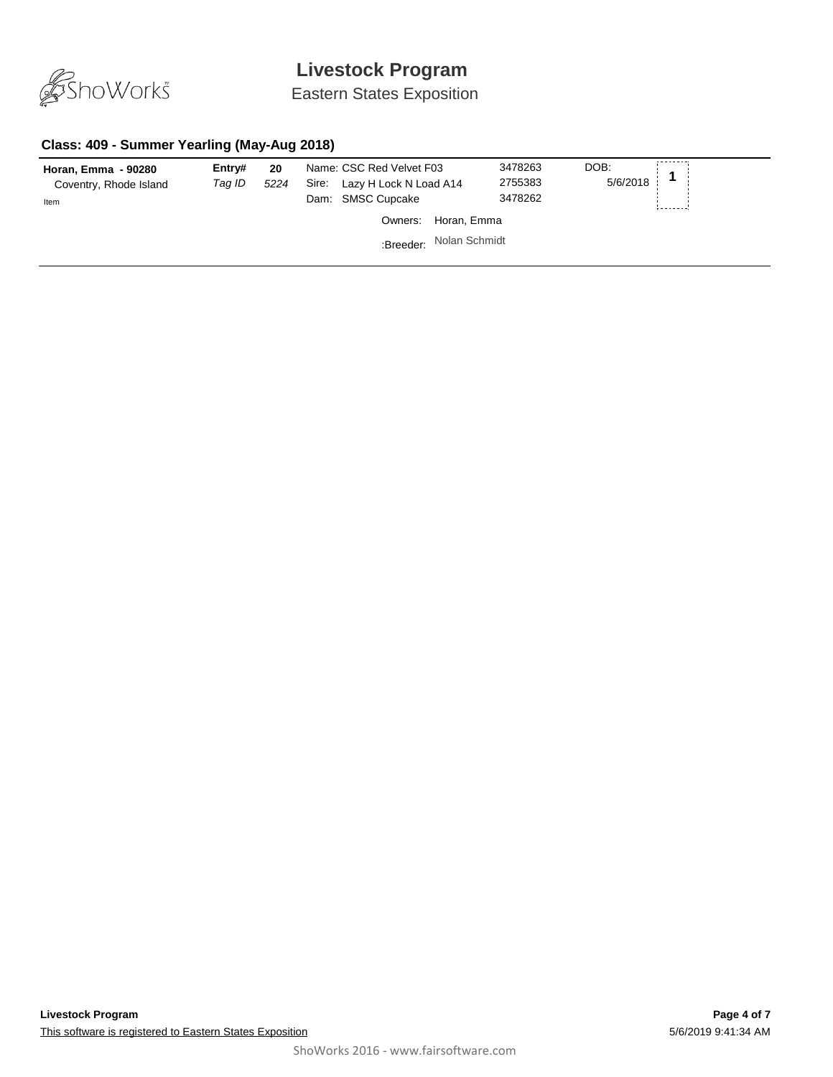

Eastern States Exposition

#### **Class: 409 - Summer Yearling (May-Aug 2018)**

| Horan, Emma - 90280<br>Coventry, Rhode Island<br>Item | Entry#<br>Tag ID | 20<br>5224 | Name: CSC Red Velvet F03<br>Sire: Lazy H Lock N Load A14<br>Dam: SMSC Cupcake | 3478263<br>2755383<br>3478262 | DOB:<br>5/6/2018 |
|-------------------------------------------------------|------------------|------------|-------------------------------------------------------------------------------|-------------------------------|------------------|
|                                                       |                  |            | Owners:                                                                       | Horan, Emma                   |                  |
|                                                       |                  |            | :Breeder: Nolan Schmidt                                                       |                               |                  |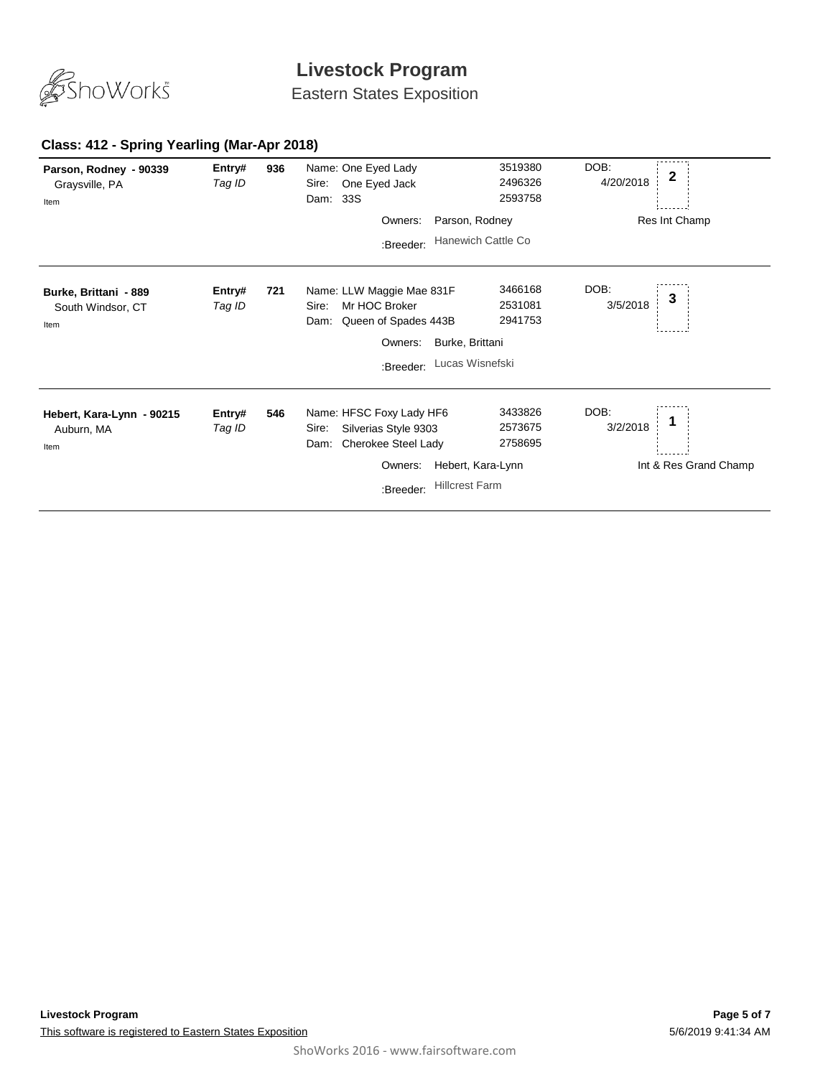

Eastern States Exposition

#### **936** *Tag ID* Entry# 936 Name: One Eyed Lady 3519380 DOB:<br>*Tag ID* Sire: One Eyed Jack 2496326 4/20/2018 **2** Sire: One Eyed Jack DOB: 4/20/2018 Dam: 33S 3519380 2496326 2593758 **Parson, Rodney - 90339** Graysville, PA Res Int Champ Item Owners: Parson, Rodney :Breeder: Hanewich Cattle Co **721** *Tag ID* Name: LLW Maggie Mae 831F **Entry# <sup>3</sup>** Sire: Mr HOC Broker DOB: 3/5/2018 Dam: Queen of Spades 443B 3466168 2531081 2941753 **Burke, Brittani - 889** South Windsor, CT Item Owners: Burke, Brittani :Breeder: Lucas Wisnefski **546** *Tag ID* Name: HFSC Foxy Lady HF6 **Entry# <sup>1</sup>** Sire: Silverias Style 9303 DOB: 3/2/2018 Dam: Cherokee Steel Lady 3433826 2573675 2758695 **Hebert, Kara-Lynn - 90215** Auburn, MA Int & Res Grand Champ Item Owners: Hebert, Kara-Lynn :Breeder: Hillcrest Farm

#### **Class: 412 - Spring Yearling (Mar-Apr 2018)**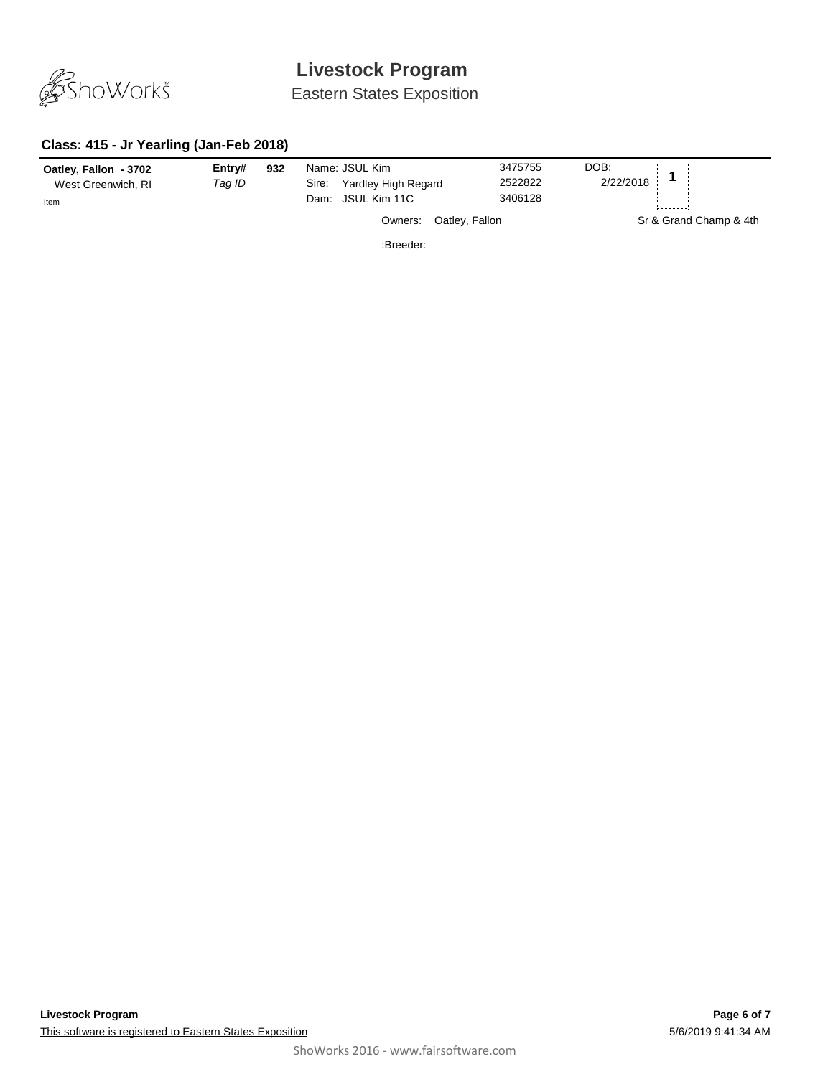

Eastern States Exposition

### **Class: 415 - Jr Yearling (Jan-Feb 2018)**

| Oatley, Fallon - 3702<br>West Greenwich, RI<br>Item | Entry#<br>Tag ID | 932 | Name: JSUL Kim<br><b>Yardley High Regard</b><br>Sire:<br>Dam: JSUL Kim 11C |                | 3475755<br>2522822<br>3406128 | DOB:<br>2/22/2018 |                        |
|-----------------------------------------------------|------------------|-----|----------------------------------------------------------------------------|----------------|-------------------------------|-------------------|------------------------|
|                                                     |                  |     | Owners:                                                                    | Oatley, Fallon |                               |                   | Sr & Grand Champ & 4th |
|                                                     |                  |     | :Breeder:                                                                  |                |                               |                   |                        |